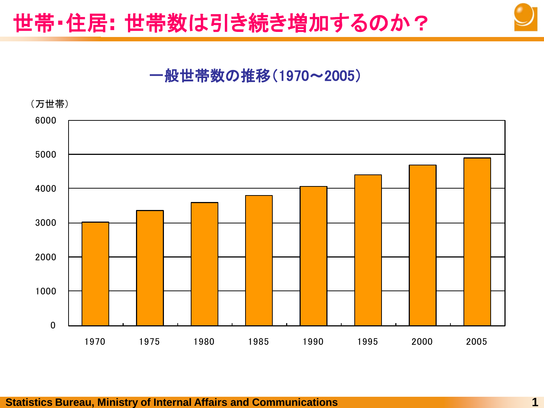# 世帯・住居**:** 世帯数は引き続き増加するのか?

## 一般世帯数の推移(1970~2005)

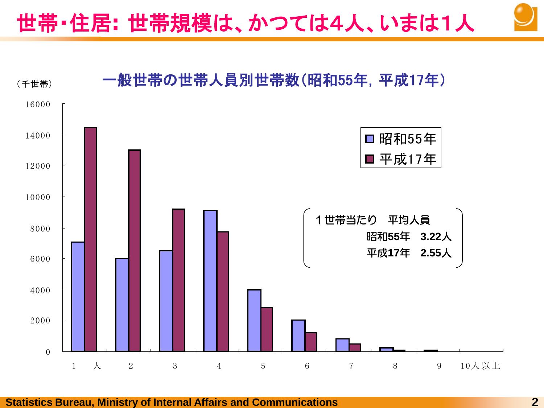世帯・住居**:** 世帯規模は、かつては4人、いまは1人



#### **Statistics Bureau, Ministry of Internal Affairs and Communications 2**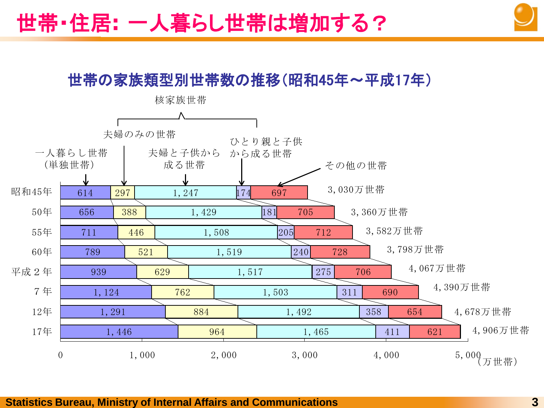

### 世帯の家族類型別世帯数の推移(昭和45年~平成17年)